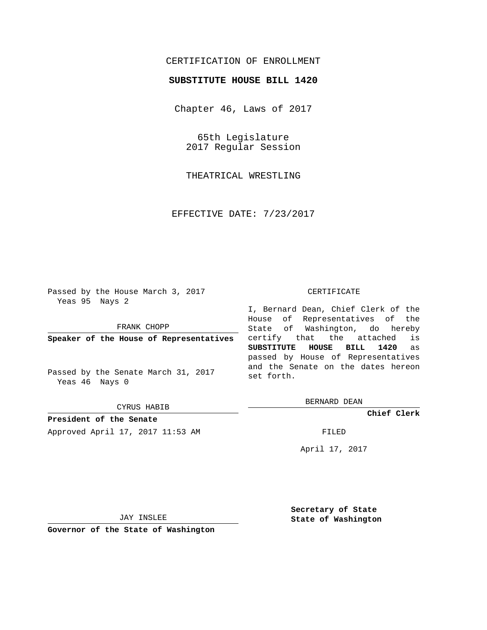## CERTIFICATION OF ENROLLMENT

## **SUBSTITUTE HOUSE BILL 1420**

Chapter 46, Laws of 2017

65th Legislature 2017 Regular Session

THEATRICAL WRESTLING

EFFECTIVE DATE: 7/23/2017

Passed by the House March 3, 2017 Yeas 95 Nays 2

FRANK CHOPP

**Speaker of the House of Representatives**

Passed by the Senate March 31, 2017 Yeas 46 Nays 0

CYRUS HABIB

**President of the Senate** Approved April 17, 2017 11:53 AM FILED

## CERTIFICATE

I, Bernard Dean, Chief Clerk of the House of Representatives of the State of Washington, do hereby certify that the attached is **SUBSTITUTE HOUSE BILL 1420** as passed by House of Representatives and the Senate on the dates hereon set forth.

BERNARD DEAN

**Chief Clerk**

April 17, 2017

JAY INSLEE

**Governor of the State of Washington**

**Secretary of State State of Washington**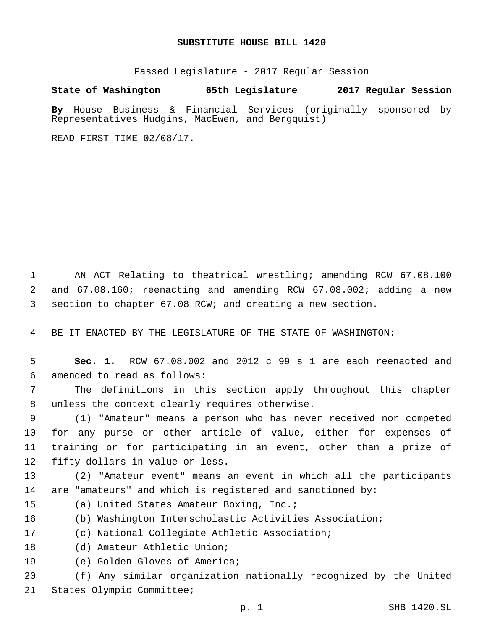## **SUBSTITUTE HOUSE BILL 1420**

Passed Legislature - 2017 Regular Session

**State of Washington 65th Legislature 2017 Regular Session**

**By** House Business & Financial Services (originally sponsored by Representatives Hudgins, MacEwen, and Bergquist)

READ FIRST TIME 02/08/17.

1 AN ACT Relating to theatrical wrestling; amending RCW 67.08.100 2 and 67.08.160; reenacting and amending RCW 67.08.002; adding a new 3 section to chapter 67.08 RCW; and creating a new section.

4 BE IT ENACTED BY THE LEGISLATURE OF THE STATE OF WASHINGTON:

5 **Sec. 1.** RCW 67.08.002 and 2012 c 99 s 1 are each reenacted and 6 amended to read as follows:

7 The definitions in this section apply throughout this chapter 8 unless the context clearly requires otherwise.

 (1) "Amateur" means a person who has never received nor competed for any purse or other article of value, either for expenses of training or for participating in an event, other than a prize of 12 fifty dollars in value or less.

13 (2) "Amateur event" means an event in which all the participants 14 are "amateurs" and which is registered and sanctioned by:

- 15 (a) United States Amateur Boxing, Inc.;
- 16 (b) Washington Interscholastic Activities Association;
- 17 (c) National Collegiate Athletic Association;
- 18 (d) Amateur Athletic Union;
- 19 (e) Golden Gloves of America;

20 (f) Any similar organization nationally recognized by the United 21 States Olympic Committee;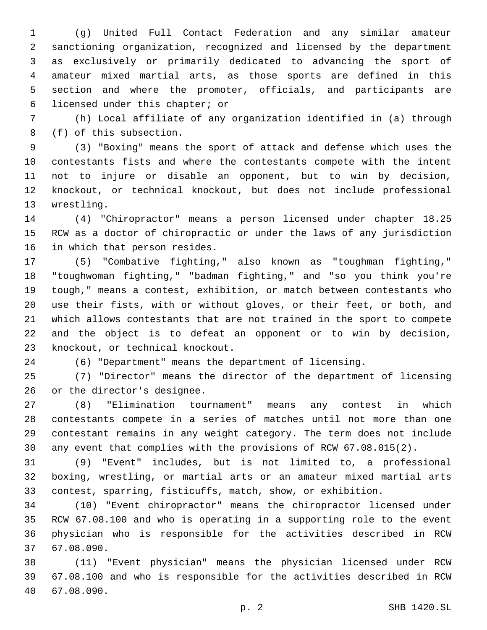(g) United Full Contact Federation and any similar amateur sanctioning organization, recognized and licensed by the department as exclusively or primarily dedicated to advancing the sport of amateur mixed martial arts, as those sports are defined in this section and where the promoter, officials, and participants are 6 licensed under this chapter; or

 (h) Local affiliate of any organization identified in (a) through 8 (f) of this subsection.

 (3) "Boxing" means the sport of attack and defense which uses the contestants fists and where the contestants compete with the intent not to injure or disable an opponent, but to win by decision, knockout, or technical knockout, but does not include professional 13 wrestling.

 (4) "Chiropractor" means a person licensed under chapter 18.25 RCW as a doctor of chiropractic or under the laws of any jurisdiction 16 in which that person resides.

 (5) "Combative fighting," also known as "toughman fighting," "toughwoman fighting," "badman fighting," and "so you think you're tough," means a contest, exhibition, or match between contestants who use their fists, with or without gloves, or their feet, or both, and which allows contestants that are not trained in the sport to compete and the object is to defeat an opponent or to win by decision, 23 knockout, or technical knockout.

(6) "Department" means the department of licensing.

 (7) "Director" means the director of the department of licensing 26 or the director's designee.

 (8) "Elimination tournament" means any contest in which contestants compete in a series of matches until not more than one contestant remains in any weight category. The term does not include any event that complies with the provisions of RCW 67.08.015(2).

 (9) "Event" includes, but is not limited to, a professional boxing, wrestling, or martial arts or an amateur mixed martial arts contest, sparring, fisticuffs, match, show, or exhibition.

 (10) "Event chiropractor" means the chiropractor licensed under RCW 67.08.100 and who is operating in a supporting role to the event physician who is responsible for the activities described in RCW 67.08.090.37

 (11) "Event physician" means the physician licensed under RCW 67.08.100 and who is responsible for the activities described in RCW 40 67.08.090.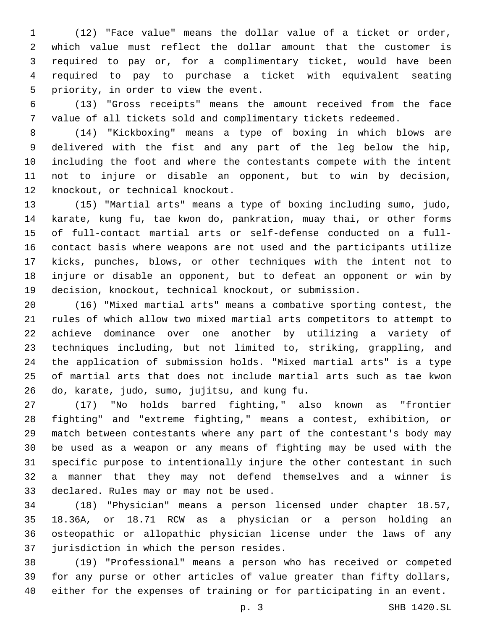(12) "Face value" means the dollar value of a ticket or order, which value must reflect the dollar amount that the customer is required to pay or, for a complimentary ticket, would have been required to pay to purchase a ticket with equivalent seating 5 priority, in order to view the event.

 (13) "Gross receipts" means the amount received from the face value of all tickets sold and complimentary tickets redeemed.

 (14) "Kickboxing" means a type of boxing in which blows are delivered with the fist and any part of the leg below the hip, including the foot and where the contestants compete with the intent not to injure or disable an opponent, but to win by decision, 12 knockout, or technical knockout.

 (15) "Martial arts" means a type of boxing including sumo, judo, karate, kung fu, tae kwon do, pankration, muay thai, or other forms of full-contact martial arts or self-defense conducted on a full- contact basis where weapons are not used and the participants utilize kicks, punches, blows, or other techniques with the intent not to injure or disable an opponent, but to defeat an opponent or win by decision, knockout, technical knockout, or submission.

 (16) "Mixed martial arts" means a combative sporting contest, the rules of which allow two mixed martial arts competitors to attempt to achieve dominance over one another by utilizing a variety of techniques including, but not limited to, striking, grappling, and the application of submission holds. "Mixed martial arts" is a type of martial arts that does not include martial arts such as tae kwon 26 do, karate, judo, sumo, jujitsu, and kung fu.

 (17) "No holds barred fighting," also known as "frontier fighting" and "extreme fighting," means a contest, exhibition, or match between contestants where any part of the contestant's body may be used as a weapon or any means of fighting may be used with the specific purpose to intentionally injure the other contestant in such a manner that they may not defend themselves and a winner is 33 declared. Rules may or may not be used.

 (18) "Physician" means a person licensed under chapter 18.57, 18.36A, or 18.71 RCW as a physician or a person holding an osteopathic or allopathic physician license under the laws of any 37 jurisdiction in which the person resides.

 (19) "Professional" means a person who has received or competed for any purse or other articles of value greater than fifty dollars, either for the expenses of training or for participating in an event.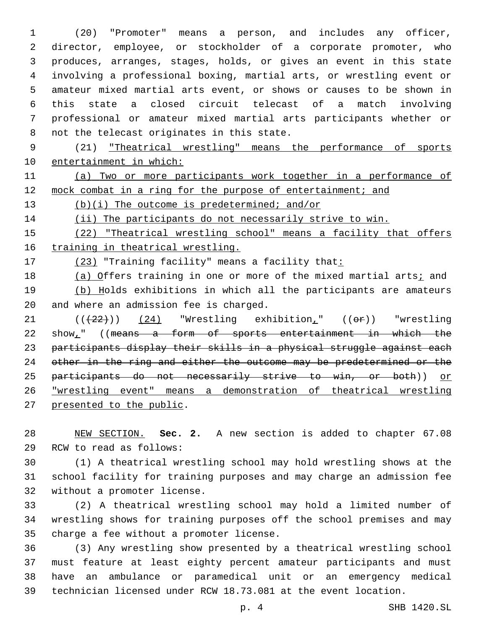(20) "Promoter" means a person, and includes any officer, director, employee, or stockholder of a corporate promoter, who produces, arranges, stages, holds, or gives an event in this state involving a professional boxing, martial arts, or wrestling event or amateur mixed martial arts event, or shows or causes to be shown in this state a closed circuit telecast of a match involving professional or amateur mixed martial arts participants whether or 8 not the telecast originates in this state.

9 (21) "Theatrical wrestling" means the performance of sports 10 entertainment in which:

11 (a) Two or more participants work together in a performance of 12 mock combat in a ring for the purpose of entertainment; and

13 (b)(i) The outcome is predetermined; and/or

14 (ii) The participants do not necessarily strive to win.

15 (22) "Theatrical wrestling school" means a facility that offers 16 training in theatrical wrestling.

17 (23) "Training facility" means a facility that:

18 (a) Offers training in one or more of the mixed martial arts; and 19 (b) Holds exhibitions in which all the participants are amateurs 20 and where an admission fee is charged.

21  $((+22))$   $(24)$  "Wrestling exhibition<sub>1</sub>"  $((eF))$  "wrestling 22 show," ((means a form of sports entertainment in which the 23 participants display their skills in a physical struggle against each 24 other in the ring and either the outcome may be predetermined or the 25 participants do not necessarily strive to win, or both)) or 26 "wrestling event" means a demonstration of theatrical wrestling 27 presented to the public.

28 NEW SECTION. **Sec. 2.** A new section is added to chapter 67.08 29 RCW to read as follows:

30 (1) A theatrical wrestling school may hold wrestling shows at the 31 school facility for training purposes and may charge an admission fee 32 without a promoter license.

33 (2) A theatrical wrestling school may hold a limited number of 34 wrestling shows for training purposes off the school premises and may 35 charge a fee without a promoter license.

 (3) Any wrestling show presented by a theatrical wrestling school must feature at least eighty percent amateur participants and must have an ambulance or paramedical unit or an emergency medical technician licensed under RCW 18.73.081 at the event location.

p. 4 SHB 1420.SL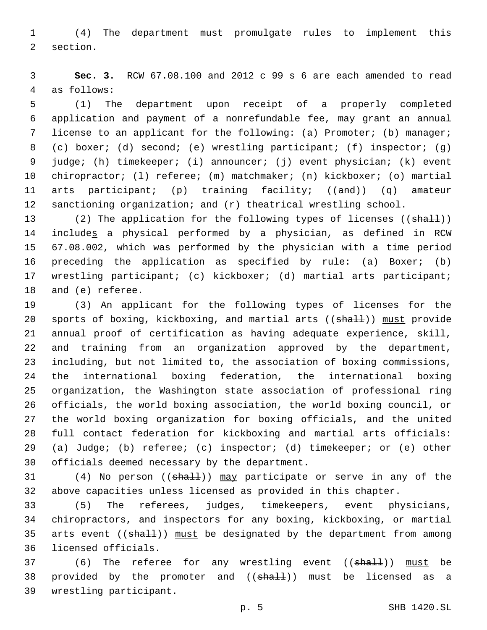1 (4) The department must promulgate rules to implement this 2 section.

3 **Sec. 3.** RCW 67.08.100 and 2012 c 99 s 6 are each amended to read 4 as follows:

 (1) The department upon receipt of a properly completed application and payment of a nonrefundable fee, may grant an annual license to an applicant for the following: (a) Promoter; (b) manager; (c) boxer; (d) second; (e) wrestling participant; (f) inspector; (g) judge; (h) timekeeper; (i) announcer; (j) event physician; (k) event chiropractor; (l) referee; (m) matchmaker; (n) kickboxer; (o) martial 11 arts participant; (p) training facility; ((and)) (q) amateur 12 sanctioning organization; and (r) theatrical wrestling school.

13 (2) The application for the following types of licenses ((shall)) 14 includes a physical performed by a physician, as defined in RCW 15 67.08.002, which was performed by the physician with a time period 16 preceding the application as specified by rule: (a) Boxer; (b) 17 wrestling participant; (c) kickboxer; (d) martial arts participant; 18 and (e) referee.

 (3) An applicant for the following types of licenses for the 20 sports of boxing, kickboxing, and martial arts ((shall)) must provide annual proof of certification as having adequate experience, skill, and training from an organization approved by the department, including, but not limited to, the association of boxing commissions, the international boxing federation, the international boxing organization, the Washington state association of professional ring officials, the world boxing association, the world boxing council, or the world boxing organization for boxing officials, and the united full contact federation for kickboxing and martial arts officials: (a) Judge; (b) referee; (c) inspector; (d) timekeeper; or (e) other 30 officials deemed necessary by the department.

31 (4) No person ((shall)) may participate or serve in any of the 32 above capacities unless licensed as provided in this chapter.

33 (5) The referees, judges, timekeepers, event physicians, 34 chiropractors, and inspectors for any boxing, kickboxing, or martial 35 arts event ((shall)) must be designated by the department from among 36 licensed officials.

37 (6) The referee for any wrestling event ((shall)) must be 38 provided by the promoter and (( $\frac{1}{38}$ ) must be licensed as a 39 wrestling participant.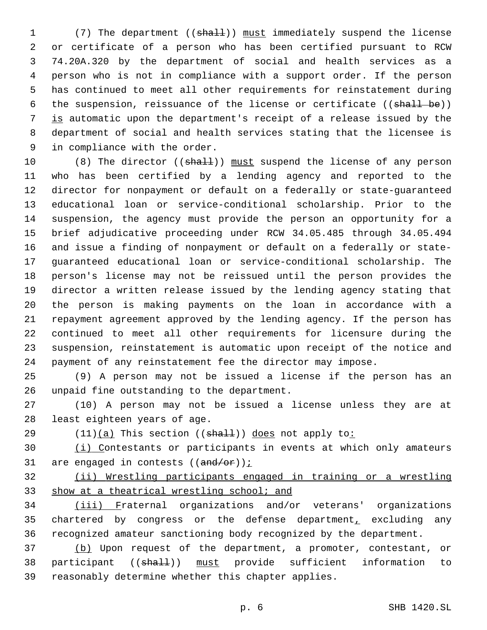1 (7) The department ((shall)) must immediately suspend the license or certificate of a person who has been certified pursuant to RCW 74.20A.320 by the department of social and health services as a person who is not in compliance with a support order. If the person has continued to meet all other requirements for reinstatement during 6 the suspension, reissuance of the license or certificate ((shall be)) is automatic upon the department's receipt of a release issued by the department of social and health services stating that the licensee is 9 in compliance with the order.

10 (8) The director ((shall)) must suspend the license of any person who has been certified by a lending agency and reported to the director for nonpayment or default on a federally or state-guaranteed educational loan or service-conditional scholarship. Prior to the suspension, the agency must provide the person an opportunity for a brief adjudicative proceeding under RCW 34.05.485 through 34.05.494 and issue a finding of nonpayment or default on a federally or state- guaranteed educational loan or service-conditional scholarship. The person's license may not be reissued until the person provides the director a written release issued by the lending agency stating that the person is making payments on the loan in accordance with a repayment agreement approved by the lending agency. If the person has continued to meet all other requirements for licensure during the suspension, reinstatement is automatic upon receipt of the notice and payment of any reinstatement fee the director may impose.

 (9) A person may not be issued a license if the person has an 26 unpaid fine outstanding to the department.

 (10) A person may not be issued a license unless they are at 28 least eighteen years of age.

29  $(11)(a)$  This section  $((sha1))$  does not apply to:

 (i) Contestants or participants in events at which only amateurs 31 are engaged in contests  $((and/or))$  ;

 (ii) Wrestling participants engaged in training or a wrestling 33 show at a theatrical wrestling school; and

 (iii) Fraternal organizations and/or veterans' organizations chartered by congress or the defense department, excluding any recognized amateur sanctioning body recognized by the department.

 (b) Upon request of the department, a promoter, contestant, or 38 participant ((shall)) must provide sufficient information to reasonably determine whether this chapter applies.